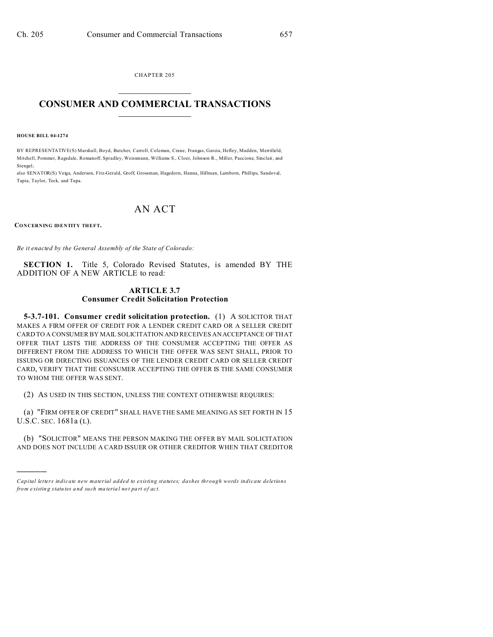CHAPTER 205  $\overline{\phantom{a}}$  , where  $\overline{\phantom{a}}$ 

## **CONSUMER AND COMMERCIAL TRANSACTIONS**  $\_$   $\_$   $\_$   $\_$   $\_$   $\_$   $\_$   $\_$

## **HOUSE BILL 04-1274**

BY REPRESENTATIVE(S) Marshall, Boyd, Butcher, Carroll, Coleman, Crane, Frangas, Garcia, Hefley, Madden, Merrifield, Mitchell, Pommer, Ragsdale, Romanoff, Spradley, Weissmann, Williams S., Cloer, Johnson R., Miller, Paccione, Sinclair, and Stengel;

also SENATOR(S) Veiga, Anderson, Fitz-Gerald, Groff, Grossman, Hagedorn, Hanna, Hillman, Lamborn, Phillips, Sandoval, Tapia, Taylor, Teck, and Tupa.

## AN ACT

**CONCERNING IDENTITY THEFT.**

)))))

*Be it enacted by the General Assembly of the State of Colorado:*

**SECTION 1.** Title 5, Colorado Revised Statutes, is amended BY THE ADDITION OF A NEW ARTICLE to read:

## **ARTICLE 3.7 Consumer Credit Solicitation Protection**

**5-3.7-101. Consumer credit solicitation protection.** (1) A SOLICITOR THAT MAKES A FIRM OFFER OF CREDIT FOR A LENDER CREDIT CARD OR A SELLER CREDIT CARD TO A CONSUMER BY MAIL SOLICITATION AND RECEIVES AN ACCEPTANCE OF THAT OFFER THAT LISTS THE ADDRESS OF THE CONSUMER ACCEPTING THE OFFER AS DIFFERENT FROM THE ADDRESS TO WHICH THE OFFER WAS SENT SHALL, PRIOR TO ISSUING OR DIRECTING ISSUANCES OF THE LENDER CREDIT CARD OR SELLER CREDIT CARD, VERIFY THAT THE CONSUMER ACCEPTING THE OFFER IS THE SAME CONSUMER TO WHOM THE OFFER WAS SENT.

(2) AS USED IN THIS SECTION, UNLESS THE CONTEXT OTHERWISE REQUIRES:

(a) "FIRM OFFER OF CREDIT" SHALL HAVE THE SAME MEANING AS SET FORTH IN 15 U.S.C. SEC. 1681a (L).

(b) "SOLICITOR" MEANS THE PERSON MAKING THE OFFER BY MAIL SOLICITATION AND DOES NOT INCLUDE A CARD ISSUER OR OTHER CREDITOR WHEN THAT CREDITOR

*Capital letters indicate new material added to existing statutes; dashes through words indicate deletions from e xistin g statu tes a nd such ma teria l no t pa rt of ac t.*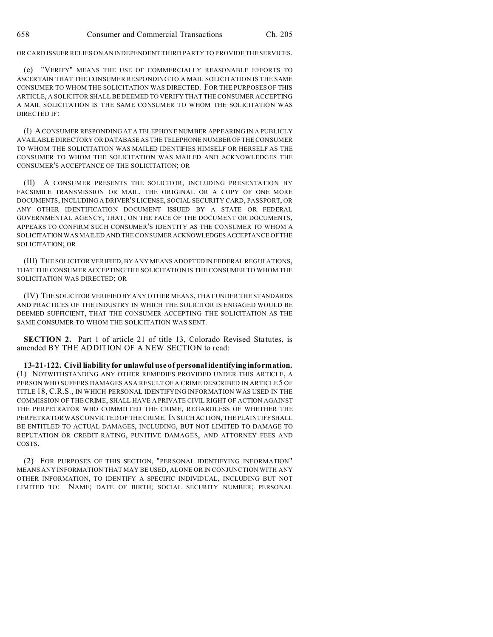OR CARD ISSUER RELIES ON AN INDEPENDENT THIRD PARTY TO PROVIDE THE SERVICES.

(c) "VERIFY" MEANS THE USE OF COMMERCIALLY REASONABLE EFFORTS TO ASCERTAIN THAT THE CONSUMER RESPONDING TO A MAIL SOLICITATION IS THE SAME CONSUMER TO WHOM THE SOLICITATION WAS DIRECTED. FOR THE PURPOSES OF THIS ARTICLE, A SOLICITOR SHALL BE DEEMED TO VERIFY THAT THE CONSUMER ACCEPTING A MAIL SOLICITATION IS THE SAME CONSUMER TO WHOM THE SOLICITATION WAS DIRECTED IF:

(I) A CONSUMER RESPONDING AT A TELEPHONE NUMBER APPEARING IN A PUBLICLY AVAILABLE DIRECTORY OR DATABASE AS THE TELEPHONE NUMBER OF THE CONSUMER TO WHOM THE SOLICITATION WAS MAILED IDENTIFIES HIMSELF OR HERSELF AS THE CONSUMER TO WHOM THE SOLICITATION WAS MAILED AND ACKNOWLEDGES THE CONSUMER'S ACCEPTANCE OF THE SOLICITATION; OR

(II) A CONSUMER PRESENTS THE SOLICITOR, INCLUDING PRESENTATION BY FACSIMILE TRANSMISSION OR MAIL, THE ORIGINAL OR A COPY OF ONE MORE DOCUMENTS, INCLUDING A DRIVER'S LICENSE, SOCIAL SECURITY CARD, PASSPORT, OR ANY OTHER IDENTIFICATION DOCUMENT ISSUED BY A STATE OR FEDERAL GOVERNMENTAL AGENCY, THAT, ON THE FACE OF THE DOCUMENT OR DOCUMENTS, APPEARS TO CONFIRM SUCH CONSUMER'S IDENTITY AS THE CONSUMER TO WHOM A SOLICITATION WAS MAILED AND THE CONSUMERACKNOWLEDGES ACCEPTANCE OF THE SOLICITATION; OR

(III) THE SOLICITOR VERIFIED, BY ANY MEANS ADOPTED IN FEDERAL REGULATIONS, THAT THE CONSUMER ACCEPTING THE SOLICITATION IS THE CONSUMER TO WHOM THE SOLICITATION WAS DIRECTED; OR

(IV) THE SOLICITOR VERIFIED BY ANY OTHER MEANS, THAT UNDER THE STANDARDS AND PRACTICES OF THE INDUSTRY IN WHICH THE SOLICITOR IS ENGAGED WOULD BE DEEMED SUFFICIENT, THAT THE CONSUMER ACCEPTING THE SOLICITATION AS THE SAME CONSUMER TO WHOM THE SOLICITATION WAS SENT.

**SECTION 2.** Part 1 of article 21 of title 13, Colorado Revised Statutes, is amended BY THE ADDITION OF A NEW SECTION to read:

**13-21-122. Civil liability for unlawful use of personal identifying information.** (1) NOTWITHSTANDING ANY OTHER REMEDIES PROVIDED UNDER THIS ARTICLE, A PERSON WHO SUFFERS DAMAGES AS A RESULT OF A CRIME DESCRIBED IN ARTICLE 5 OF TITLE 18, C.R.S., IN WHICH PERSONAL IDENTIFYING INFORMATION WAS USED IN THE COMMISSION OF THE CRIME, SHALL HAVE A PRIVATE CIVIL RIGHT OF ACTION AGAINST THE PERPETRATOR WHO COMMITTED THE CRIME, REGARDLESS OF WHETHER THE PERPETRATOR WAS CONVICTED OF THE CRIME. IN SUCH ACTION, THE PLAINTIFF SHALL BE ENTITLED TO ACTUAL DAMAGES, INCLUDING, BUT NOT LIMITED TO DAMAGE TO REPUTATION OR CREDIT RATING, PUNITIVE DAMAGES, AND ATTORNEY FEES AND COSTS.

(2) FOR PURPOSES OF THIS SECTION, "PERSONAL IDENTIFYING INFORMATION" MEANS ANY INFORMATION THAT MAY BE USED, ALONE OR IN CONJUNCTION WITH ANY OTHER INFORMATION, TO IDENTIFY A SPECIFIC INDIVIDUAL, INCLUDING BUT NOT LIMITED TO: NAME; DATE OF BIRTH; SOCIAL SECURITY NUMBER; PERSONAL